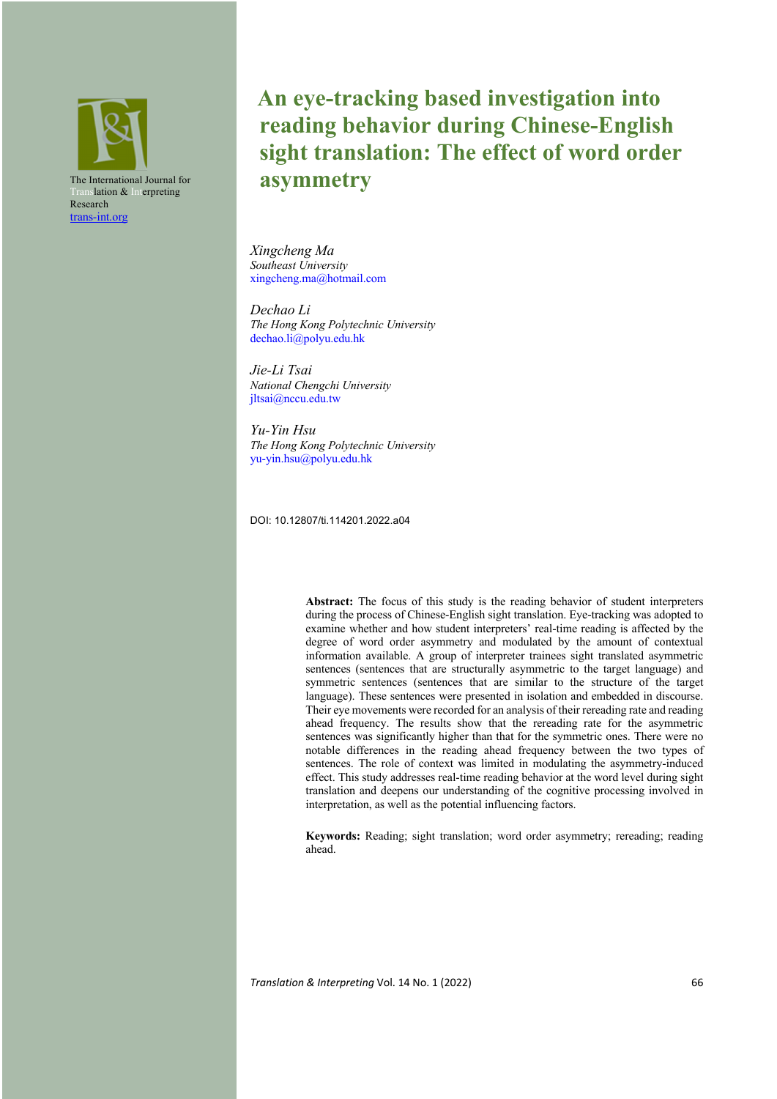

# **An eye-tracking based investigation into reading behavior during Chinese-English sight translation: The effect of word order asymmetry**

*Xingcheng Ma Southeast University* xingcheng.ma@hotmail.com

*Dechao Li The Hong Kong Polytechnic University* dechao.li@polyu.edu.hk

*Jie-Li Tsai National Chengchi University* jltsai@nccu.edu.tw

*Yu-Yin Hsu The Hong Kong Polytechnic University*  yu-yin.hsu@polyu.edu.hk

DOI: 10.12807/ti.114201.2022.a04

**Abstract:** The focus of this study is the reading behavior of student interpreters during the process of Chinese-English sight translation. Eye-tracking was adopted to examine whether and how student interpreters' real-time reading is affected by the degree of word order asymmetry and modulated by the amount of contextual information available. A group of interpreter trainees sight translated asymmetric sentences (sentences that are structurally asymmetric to the target language) and symmetric sentences (sentences that are similar to the structure of the target language). These sentences were presented in isolation and embedded in discourse. Their eye movements were recorded for an analysis of their rereading rate and reading ahead frequency. The results show that the rereading rate for the asymmetric sentences was significantly higher than that for the symmetric ones. There were no notable differences in the reading ahead frequency between the two types of sentences. The role of context was limited in modulating the asymmetry-induced effect. This study addresses real-time reading behavior at the word level during sight translation and deepens our understanding of the cognitive processing involved in interpretation, as well as the potential influencing factors.

**Keywords:** Reading; sight translation; word order asymmetry; rereading; reading ahead.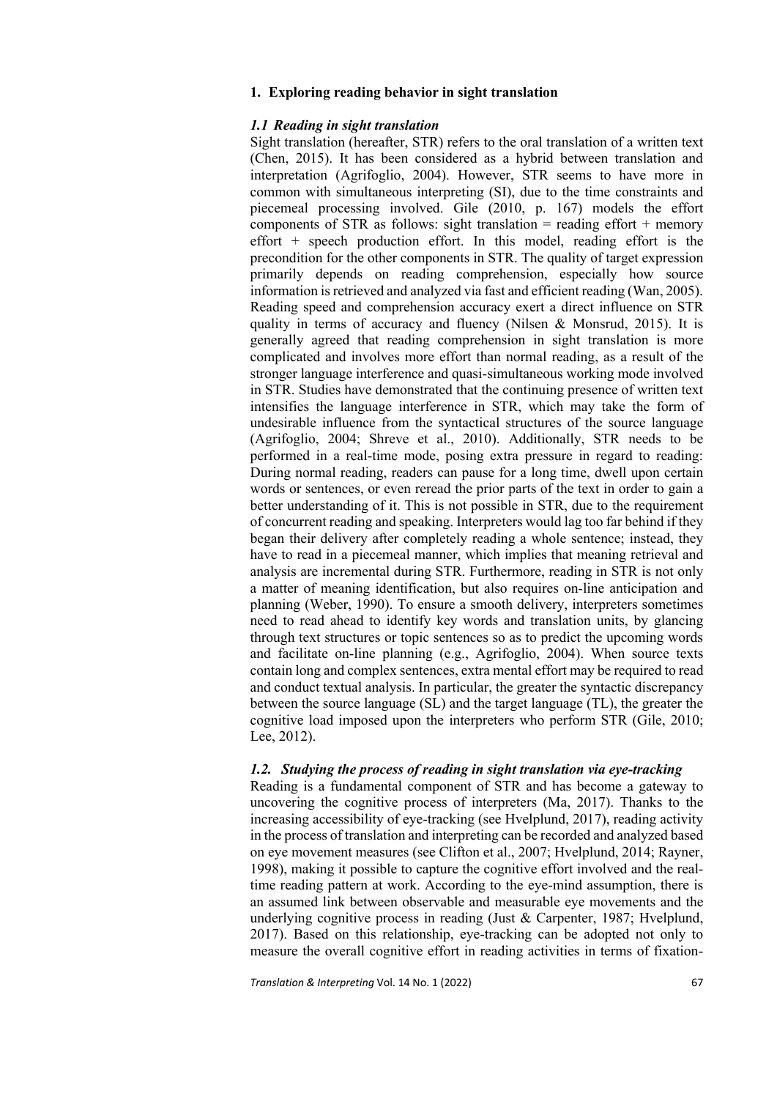## **1. Exploring reading behavior in sight translation**

## *1.1 Reading in sight translation*

Sight translation (hereafter, STR) refers to the oral translation of a written text (Chen, 2015). It has been considered as a hybrid between translation and interpretation (Agrifoglio, 2004). However, STR seems to have more in common with simultaneous interpreting (SI), due to the time constraints and piecemeal processing involved. Gile (2010, p. 167) models the effort components of STR as follows: sight translation = reading effort + memory effort  $+$  speech production effort. In this model, reading effort is the precondition for the other components in STR. The quality of target expression primarily depends on reading comprehension, especially how source information is retrieved and analyzed via fast and efficient reading (Wan, 2005). Reading speed and comprehension accuracy exert a direct influence on STR quality in terms of accuracy and fluency (Nilsen & Monsrud, 2015). It is generally agreed that reading comprehension in sight translation is more complicated and involves more effort than normal reading, as a result of the stronger language interference and quasi-simultaneous working mode involved in STR. Studies have demonstrated that the continuing presence of written text intensifies the language interference in STR, which may take the form of undesirable influence from the syntactical structures of the source language (Agrifoglio, 2004; Shreve et al., 2010). Additionally, STR needs to be performed in a real-time mode, posing extra pressure in regard to reading: During normal reading, readers can pause for a long time, dwell upon certain words or sentences, or even reread the prior parts of the text in order to gain a better understanding of it. This is not possible in STR, due to the requirement of concurrent reading and speaking. Interpreters would lag too far behind if they began their delivery after completely reading a whole sentence; instead, they have to read in a piecemeal manner, which implies that meaning retrieval and analysis are incremental during STR. Furthermore, reading in STR is not only a matter of meaning identification, but also requires on-line anticipation and planning (Weber, 1990). To ensure a smooth delivery, interpreters sometimes need to read ahead to identify key words and translation units, by glancing through text structures or topic sentences so as to predict the upcoming words and facilitate on-line planning (e.g., Agrifoglio, 2004). When source texts contain long and complex sentences, extra mental effort may be required to read and conduct textual analysis. In particular, the greater the syntactic discrepancy between the source language (SL) and the target language (TL), the greater the cognitive load imposed upon the interpreters who perform STR (Gile, 2010; Lee, 2012).

#### *1.2. Studying the process of reading in sight translation via eye-tracking*

Reading is a fundamental component of STR and has become a gateway to uncovering the cognitive process of interpreters (Ma, 2017). Thanks to the increasing accessibility of eye-tracking (see Hvelplund, 2017), reading activity in the process of translation and interpreting can be recorded and analyzed based on eye movement measures (see Clifton et al., 2007; Hvelplund, 2014; Rayner, 1998), making it possible to capture the cognitive effort involved and the realtime reading pattern at work. According to the eye-mind assumption, there is an assumed link between observable and measurable eye movements and the underlying cognitive process in reading (Just & Carpenter, 1987; Hvelplund, 2017). Based on this relationship, eye-tracking can be adopted not only to measure the overall cognitive effort in reading activities in terms of fixation-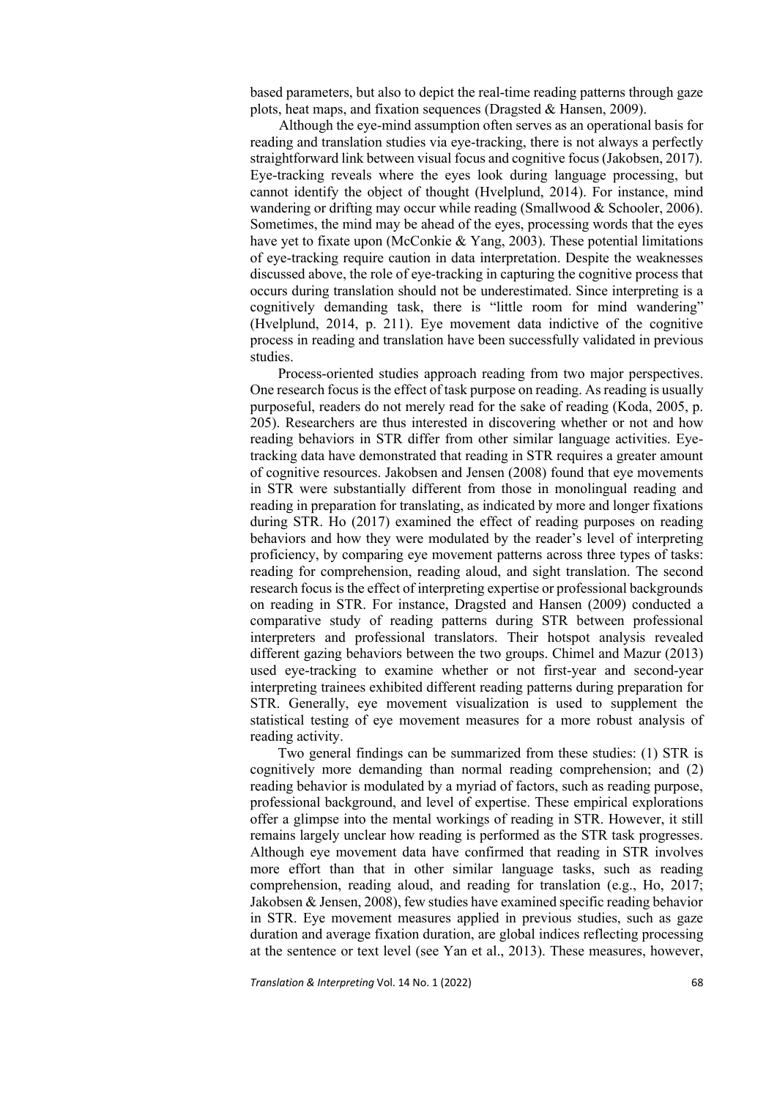based parameters, but also to depict the real-time reading patterns through gaze plots, heat maps, and fixation sequences (Dragsted & Hansen, 2009).

 Although the eye-mind assumption often serves as an operational basis for reading and translation studies via eye-tracking, there is not always a perfectly straightforward link between visual focus and cognitive focus (Jakobsen, 2017). Eye-tracking reveals where the eyes look during language processing, but cannot identify the object of thought (Hvelplund, 2014). For instance, mind wandering or drifting may occur while reading (Smallwood & Schooler, 2006). Sometimes, the mind may be ahead of the eyes, processing words that the eyes have yet to fixate upon (McConkie & Yang, 2003). These potential limitations of eye-tracking require caution in data interpretation. Despite the weaknesses discussed above, the role of eye-tracking in capturing the cognitive process that occurs during translation should not be underestimated. Since interpreting is a cognitively demanding task, there is "little room for mind wandering" (Hvelplund, 2014, p. 211). Eye movement data indictive of the cognitive process in reading and translation have been successfully validated in previous studies.

Process-oriented studies approach reading from two major perspectives. One research focus is the effect of task purpose on reading. As reading is usually purposeful, readers do not merely read for the sake of reading (Koda, 2005, p. 205). Researchers are thus interested in discovering whether or not and how reading behaviors in STR differ from other similar language activities. Eyetracking data have demonstrated that reading in STR requires a greater amount of cognitive resources. Jakobsen and Jensen (2008) found that eye movements in STR were substantially different from those in monolingual reading and reading in preparation for translating, as indicated by more and longer fixations during STR. Ho (2017) examined the effect of reading purposes on reading behaviors and how they were modulated by the reader's level of interpreting proficiency, by comparing eye movement patterns across three types of tasks: reading for comprehension, reading aloud, and sight translation. The second research focus is the effect of interpreting expertise or professional backgrounds on reading in STR. For instance, Dragsted and Hansen (2009) conducted a comparative study of reading patterns during STR between professional interpreters and professional translators. Their hotspot analysis revealed different gazing behaviors between the two groups. Chimel and Mazur (2013) used eye-tracking to examine whether or not first-year and second-year interpreting trainees exhibited different reading patterns during preparation for STR. Generally, eye movement visualization is used to supplement the statistical testing of eye movement measures for a more robust analysis of reading activity.

Two general findings can be summarized from these studies: (1) STR is cognitively more demanding than normal reading comprehension; and (2) reading behavior is modulated by a myriad of factors, such as reading purpose, professional background, and level of expertise. These empirical explorations offer a glimpse into the mental workings of reading in STR. However, it still remains largely unclear how reading is performed as the STR task progresses. Although eye movement data have confirmed that reading in STR involves more effort than that in other similar language tasks, such as reading comprehension, reading aloud, and reading for translation (e.g., Ho, 2017; Jakobsen & Jensen, 2008), few studies have examined specific reading behavior in STR. Eye movement measures applied in previous studies, such as gaze duration and average fixation duration, are global indices reflecting processing at the sentence or text level (see Yan et al., 2013). These measures, however,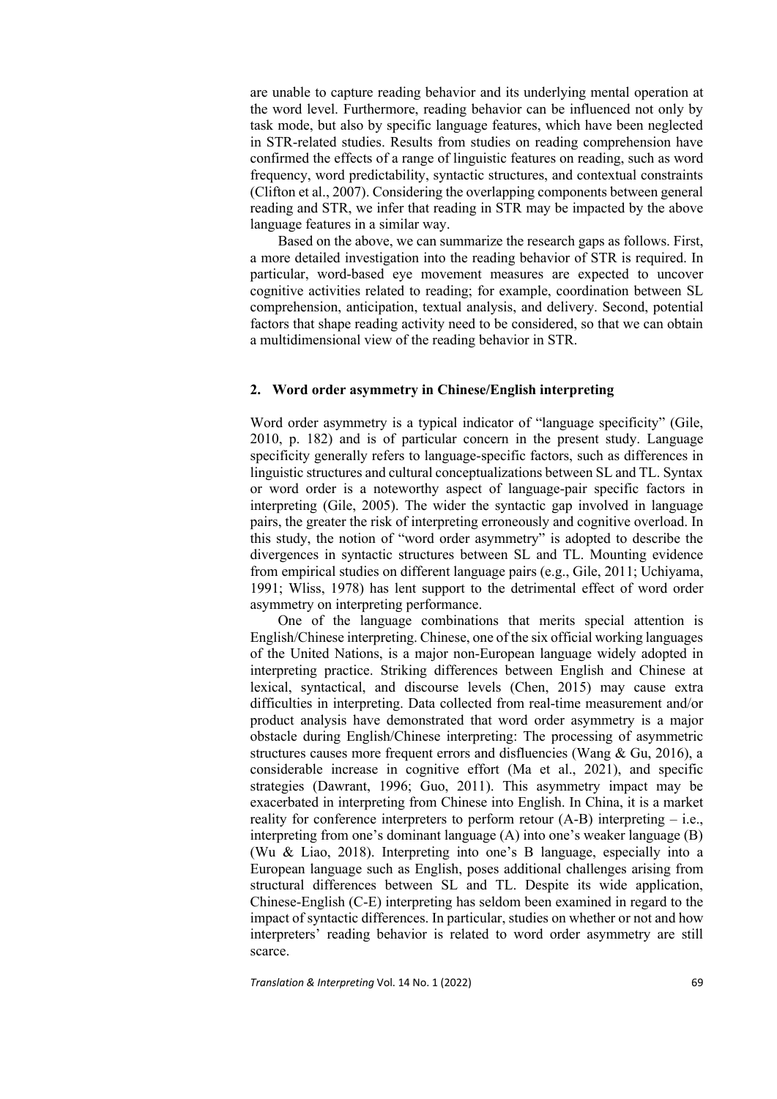are unable to capture reading behavior and its underlying mental operation at the word level. Furthermore, reading behavior can be influenced not only by task mode, but also by specific language features, which have been neglected in STR-related studies. Results from studies on reading comprehension have confirmed the effects of a range of linguistic features on reading, such as word frequency, word predictability, syntactic structures, and contextual constraints (Clifton et al., 2007). Considering the overlapping components between general reading and STR, we infer that reading in STR may be impacted by the above language features in a similar way.

Based on the above, we can summarize the research gaps as follows. First, a more detailed investigation into the reading behavior of STR is required. In particular, word-based eye movement measures are expected to uncover cognitive activities related to reading; for example, coordination between SL comprehension, anticipation, textual analysis, and delivery. Second, potential factors that shape reading activity need to be considered, so that we can obtain a multidimensional view of the reading behavior in STR.

#### **2. Word order asymmetry in Chinese/English interpreting**

Word order asymmetry is a typical indicator of "language specificity" (Gile, 2010, p. 182) and is of particular concern in the present study. Language specificity generally refers to language-specific factors, such as differences in linguistic structures and cultural conceptualizations between SL and TL. Syntax or word order is a noteworthy aspect of language-pair specific factors in interpreting (Gile, 2005). The wider the syntactic gap involved in language pairs, the greater the risk of interpreting erroneously and cognitive overload. In this study, the notion of "word order asymmetry" is adopted to describe the divergences in syntactic structures between SL and TL. Mounting evidence from empirical studies on different language pairs (e.g., Gile, 2011; Uchiyama, 1991; Wliss, 1978) has lent support to the detrimental effect of word order asymmetry on interpreting performance.

One of the language combinations that merits special attention is English/Chinese interpreting. Chinese, one of the six official working languages of the United Nations, is a major non-European language widely adopted in interpreting practice. Striking differences between English and Chinese at lexical, syntactical, and discourse levels (Chen, 2015) may cause extra difficulties in interpreting. Data collected from real-time measurement and/or product analysis have demonstrated that word order asymmetry is a major obstacle during English/Chinese interpreting: The processing of asymmetric structures causes more frequent errors and disfluencies (Wang & Gu, 2016), a considerable increase in cognitive effort (Ma et al., 2021), and specific strategies (Dawrant, 1996; Guo, 2011). This asymmetry impact may be exacerbated in interpreting from Chinese into English. In China, it is a market reality for conference interpreters to perform retour  $(A-B)$  interpreting – i.e., interpreting from one's dominant language (A) into one's weaker language (B) (Wu & Liao, 2018). Interpreting into one's B language, especially into a European language such as English, poses additional challenges arising from structural differences between SL and TL. Despite its wide application, Chinese-English (C-E) interpreting has seldom been examined in regard to the impact of syntactic differences. In particular, studies on whether or not and how interpreters' reading behavior is related to word order asymmetry are still scarce.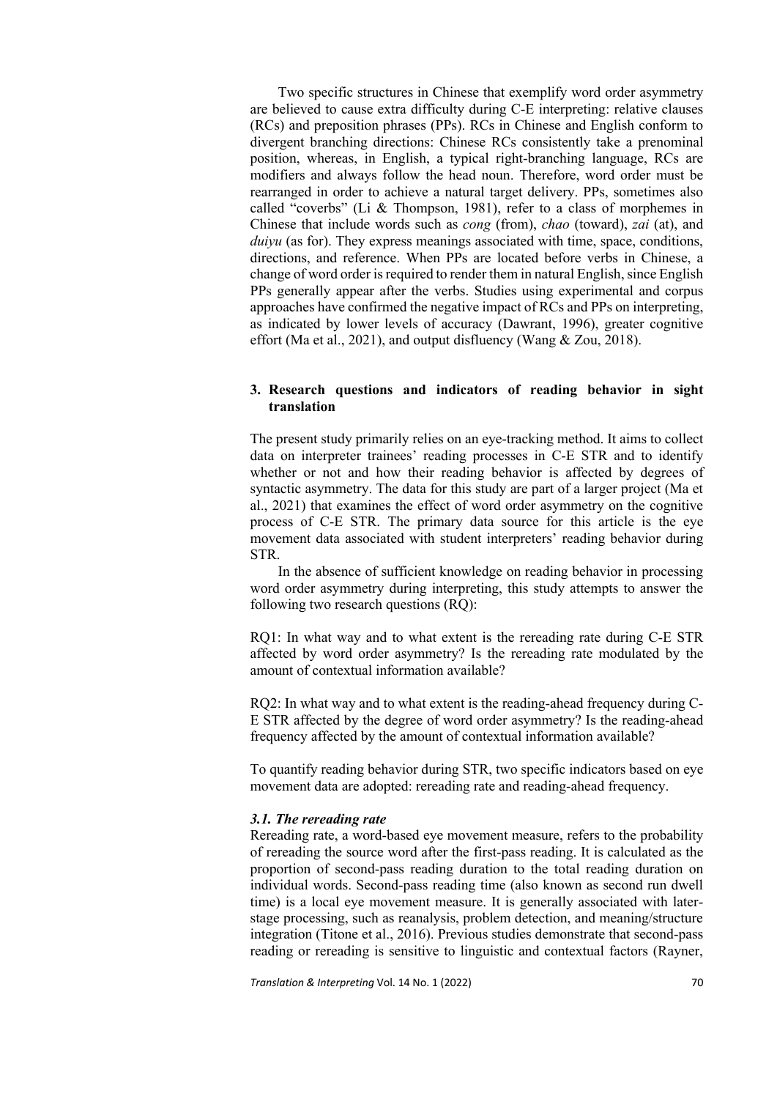Two specific structures in Chinese that exemplify word order asymmetry are believed to cause extra difficulty during C-E interpreting: relative clauses (RCs) and preposition phrases (PPs). RCs in Chinese and English conform to divergent branching directions: Chinese RCs consistently take a prenominal position, whereas, in English, a typical right-branching language, RCs are modifiers and always follow the head noun. Therefore, word order must be rearranged in order to achieve a natural target delivery. PPs, sometimes also called "coverbs" (Li & Thompson, 1981), refer to a class of morphemes in Chinese that include words such as *cong* (from), *chao* (toward), *zai* (at), and *duivu* (as for). They express meanings associated with time, space, conditions, directions, and reference. When PPs are located before verbs in Chinese, a change of word order is required to render them in natural English, since English PPs generally appear after the verbs. Studies using experimental and corpus approaches have confirmed the negative impact of RCs and PPs on interpreting, as indicated by lower levels of accuracy (Dawrant, 1996), greater cognitive effort (Ma et al., 2021), and output disfluency (Wang & Zou, 2018).

## **3. Research questions and indicators of reading behavior in sight translation**

The present study primarily relies on an eye-tracking method. It aims to collect data on interpreter trainees' reading processes in C-E STR and to identify whether or not and how their reading behavior is affected by degrees of syntactic asymmetry. The data for this study are part of a larger project (Ma et al., 2021) that examines the effect of word order asymmetry on the cognitive process of C-E STR. The primary data source for this article is the eye movement data associated with student interpreters' reading behavior during STR.

In the absence of sufficient knowledge on reading behavior in processing word order asymmetry during interpreting, this study attempts to answer the following two research questions (RQ):

RQ1: In what way and to what extent is the rereading rate during C-E STR affected by word order asymmetry? Is the rereading rate modulated by the amount of contextual information available?

RQ2: In what way and to what extent is the reading-ahead frequency during C-E STR affected by the degree of word order asymmetry? Is the reading-ahead frequency affected by the amount of contextual information available?

To quantify reading behavior during STR, two specific indicators based on eye movement data are adopted: rereading rate and reading-ahead frequency.

## *3.1. The rereading rate*

Rereading rate, a word-based eye movement measure, refers to the probability of rereading the source word after the first-pass reading. It is calculated as the proportion of second-pass reading duration to the total reading duration on individual words. Second-pass reading time (also known as second run dwell time) is a local eye movement measure. It is generally associated with laterstage processing, such as reanalysis, problem detection, and meaning/structure integration (Titone et al., 2016). Previous studies demonstrate that second-pass reading or rereading is sensitive to linguistic and contextual factors (Rayner,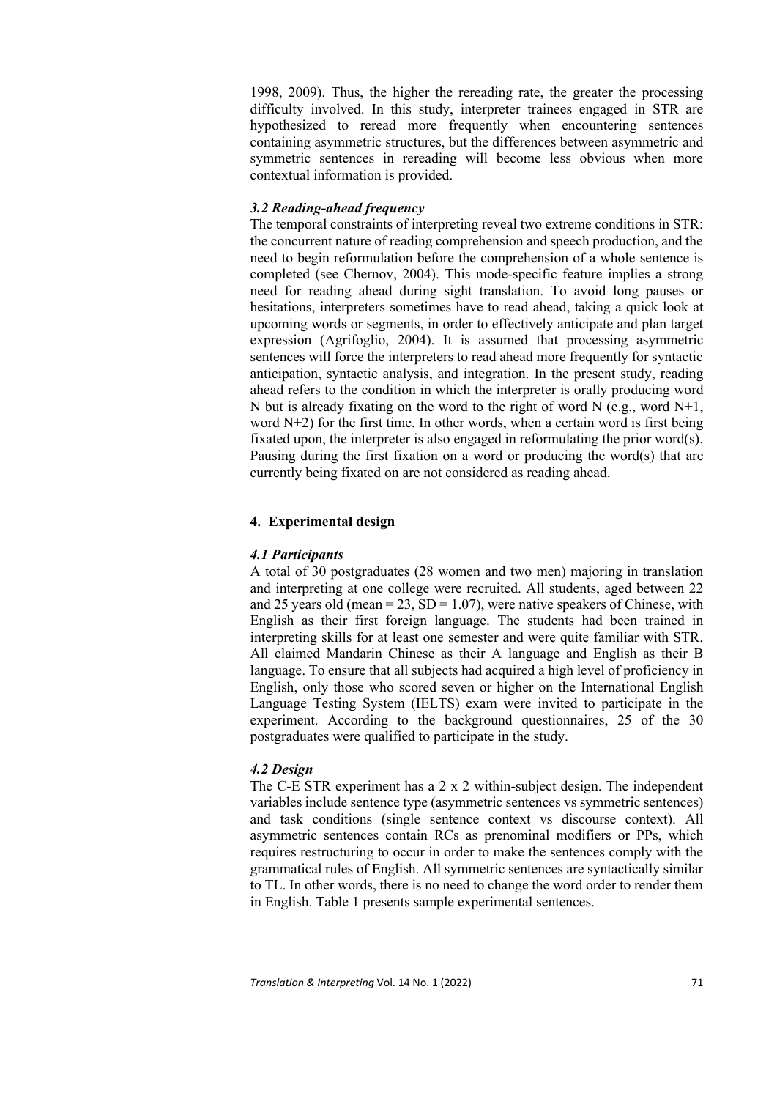1998, 2009). Thus, the higher the rereading rate, the greater the processing difficulty involved. In this study, interpreter trainees engaged in STR are hypothesized to reread more frequently when encountering sentences containing asymmetric structures, but the differences between asymmetric and symmetric sentences in rereading will become less obvious when more contextual information is provided.

## *3.2 Reading-ahead frequency*

The temporal constraints of interpreting reveal two extreme conditions in STR: the concurrent nature of reading comprehension and speech production, and the need to begin reformulation before the comprehension of a whole sentence is completed (see Chernov, 2004). This mode-specific feature implies a strong need for reading ahead during sight translation. To avoid long pauses or hesitations, interpreters sometimes have to read ahead, taking a quick look at upcoming words or segments, in order to effectively anticipate and plan target expression (Agrifoglio, 2004). It is assumed that processing asymmetric sentences will force the interpreters to read ahead more frequently for syntactic anticipation, syntactic analysis, and integration. In the present study, reading ahead refers to the condition in which the interpreter is orally producing word N but is already fixating on the word to the right of word  $N$  (e.g., word  $N+1$ , word N+2) for the first time. In other words, when a certain word is first being fixated upon, the interpreter is also engaged in reformulating the prior word(s). Pausing during the first fixation on a word or producing the word(s) that are currently being fixated on are not considered as reading ahead.

## **4. Experimental design**

## *4.1 Participants*

A total of 30 postgraduates (28 women and two men) majoring in translation and interpreting at one college were recruited. All students, aged between 22 and 25 years old (mean =  $23$ , SD = 1.07), were native speakers of Chinese, with English as their first foreign language. The students had been trained in interpreting skills for at least one semester and were quite familiar with STR. All claimed Mandarin Chinese as their A language and English as their B language. To ensure that all subjects had acquired a high level of proficiency in English, only those who scored seven or higher on the International English Language Testing System (IELTS) exam were invited to participate in the experiment. According to the background questionnaires, 25 of the 30 postgraduates were qualified to participate in the study.

## *4.2 Design*

The C-E STR experiment has a 2 x 2 within-subject design. The independent variables include sentence type (asymmetric sentences vs symmetric sentences) and task conditions (single sentence context vs discourse context). All asymmetric sentences contain RCs as prenominal modifiers or PPs, which requires restructuring to occur in order to make the sentences comply with the grammatical rules of English. All symmetric sentences are syntactically similar to TL. In other words, there is no need to change the word order to render them in English. Table 1 presents sample experimental sentences.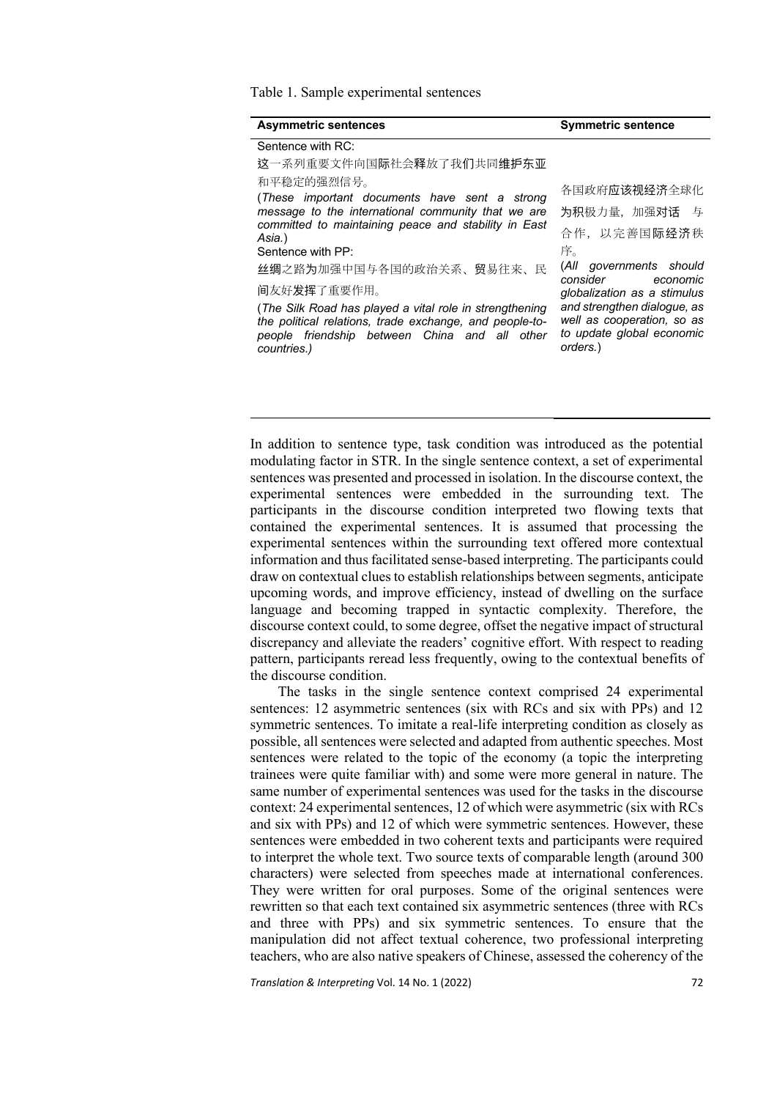Table 1. Sample experimental sentences

| <b>Asymmetric sentences</b>                                                                                                                                                                                                   | <b>Symmetric sentence</b>                                                                                                                                                            |  |
|-------------------------------------------------------------------------------------------------------------------------------------------------------------------------------------------------------------------------------|--------------------------------------------------------------------------------------------------------------------------------------------------------------------------------------|--|
| Sentence with RC:                                                                                                                                                                                                             |                                                                                                                                                                                      |  |
| 这一系列重要文件向国际社会释放了我们共同维护东亚                                                                                                                                                                                                      |                                                                                                                                                                                      |  |
| 和平稳定的强烈信号。<br>(These important documents have sent a strong<br>message to the international community that we are<br>committed to maintaining peace and stability in East<br>Asia.)<br>Sentence with PP:                      | 各国政府应该视经济全球化<br>为积极力量, 加强对话 与<br>合作,以完善国际经济秩<br>序。                                                                                                                                   |  |
| 丝绸之路为加强中国与各国的政治关系、贸易往来、民<br>间友好发挥了重要作用。<br>(The Silk Road has played a vital role in strengthening<br>the political relations, trade exchange, and people-to-<br>people friendship between China and all other<br>countries.) | (All governments should<br>consider<br>economic<br>globalization as a stimulus<br>and strengthen dialogue, as<br>well as cooperation, so as<br>to update global economic<br>orders.) |  |

In addition to sentence type, task condition was introduced as the potential modulating factor in STR. In the single sentence context, a set of experimental sentences was presented and processed in isolation. In the discourse context, the experimental sentences were embedded in the surrounding text. The participants in the discourse condition interpreted two flowing texts that contained the experimental sentences. It is assumed that processing the experimental sentences within the surrounding text offered more contextual information and thus facilitated sense-based interpreting. The participants could draw on contextual clues to establish relationships between segments, anticipate upcoming words, and improve efficiency, instead of dwelling on the surface language and becoming trapped in syntactic complexity. Therefore, the discourse context could, to some degree, offset the negative impact of structural discrepancy and alleviate the readers' cognitive effort. With respect to reading pattern, participants reread less frequently, owing to the contextual benefits of the discourse condition.

The tasks in the single sentence context comprised 24 experimental sentences: 12 asymmetric sentences (six with RCs and six with PPs) and 12 symmetric sentences. To imitate a real-life interpreting condition as closely as possible, all sentences were selected and adapted from authentic speeches. Most sentences were related to the topic of the economy (a topic the interpreting trainees were quite familiar with) and some were more general in nature. The same number of experimental sentences was used for the tasks in the discourse context: 24 experimental sentences, 12 of which were asymmetric (six with RCs and six with PPs) and 12 of which were symmetric sentences. However, these sentences were embedded in two coherent texts and participants were required to interpret the whole text. Two source texts of comparable length (around 300 characters) were selected from speeches made at international conferences. They were written for oral purposes. Some of the original sentences were rewritten so that each text contained six asymmetric sentences (three with RCs and three with PPs) and six symmetric sentences. To ensure that the manipulation did not affect textual coherence, two professional interpreting teachers, who are also native speakers of Chinese, assessed the coherency of the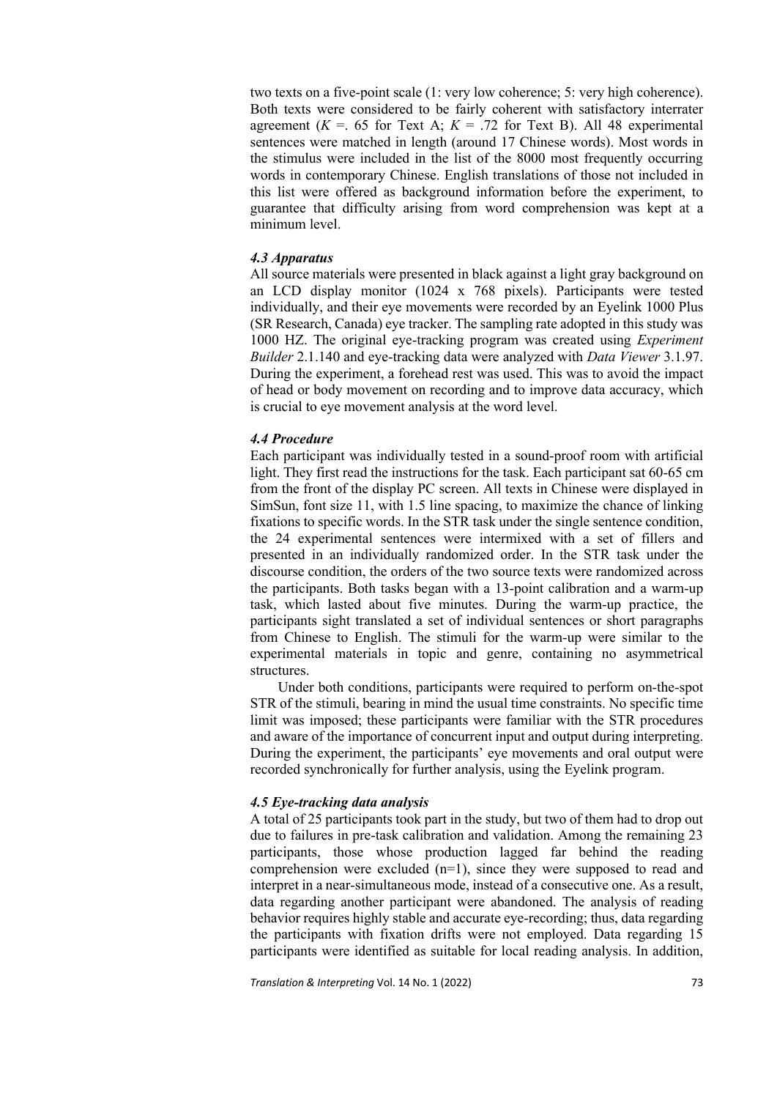two texts on a five-point scale (1: very low coherence; 5: very high coherence). Both texts were considered to be fairly coherent with satisfactory interrater agreement  $(K = 65$  for Text A;  $K = 0.72$  for Text B). All 48 experimental sentences were matched in length (around 17 Chinese words). Most words in the stimulus were included in the list of the 8000 most frequently occurring words in contemporary Chinese. English translations of those not included in this list were offered as background information before the experiment, to guarantee that difficulty arising from word comprehension was kept at a minimum level.

## *4.3 Apparatus*

All source materials were presented in black against a light gray background on an LCD display monitor (1024 x 768 pixels). Participants were tested individually, and their eye movements were recorded by an Eyelink 1000 Plus (SR Research, Canada) eye tracker. The sampling rate adopted in this study was 1000 HZ. The original eye-tracking program was created using *Experiment Builder* 2.1.140 and eye-tracking data were analyzed with *Data Viewer* 3.1.97. During the experiment, a forehead rest was used. This was to avoid the impact of head or body movement on recording and to improve data accuracy, which is crucial to eye movement analysis at the word level.

#### *4.4 Procedure*

Each participant was individually tested in a sound-proof room with artificial light. They first read the instructions for the task. Each participant sat 60-65 cm from the front of the display PC screen. All texts in Chinese were displayed in SimSun, font size 11, with 1.5 line spacing, to maximize the chance of linking fixations to specific words. In the STR task under the single sentence condition, the 24 experimental sentences were intermixed with a set of fillers and presented in an individually randomized order. In the STR task under the discourse condition, the orders of the two source texts were randomized across the participants. Both tasks began with a 13-point calibration and a warm-up task, which lasted about five minutes. During the warm-up practice, the participants sight translated a set of individual sentences or short paragraphs from Chinese to English. The stimuli for the warm-up were similar to the experimental materials in topic and genre, containing no asymmetrical structures.

Under both conditions, participants were required to perform on-the-spot STR of the stimuli, bearing in mind the usual time constraints. No specific time limit was imposed; these participants were familiar with the STR procedures and aware of the importance of concurrent input and output during interpreting. During the experiment, the participants' eye movements and oral output were recorded synchronically for further analysis, using the Eyelink program.

#### *4.5 Eye-tracking data analysis*

A total of 25 participants took part in the study, but two of them had to drop out due to failures in pre-task calibration and validation. Among the remaining 23 participants, those whose production lagged far behind the reading comprehension were excluded (n=1), since they were supposed to read and interpret in a near-simultaneous mode, instead of a consecutive one. As a result, data regarding another participant were abandoned. The analysis of reading behavior requires highly stable and accurate eye-recording; thus, data regarding the participants with fixation drifts were not employed. Data regarding 15 participants were identified as suitable for local reading analysis. In addition,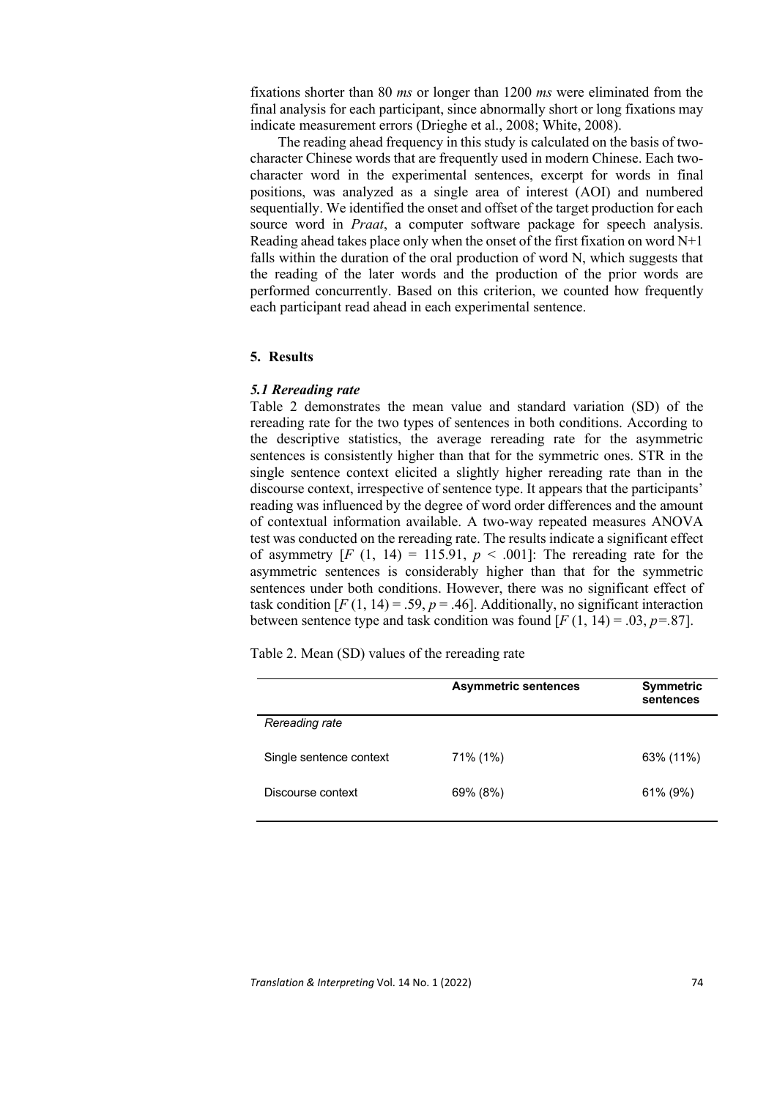fixations shorter than 80 *ms* or longer than 1200 *ms* were eliminated from the final analysis for each participant, since abnormally short or long fixations may indicate measurement errors (Drieghe et al., 2008; White, 2008).

The reading ahead frequency in this study is calculated on the basis of twocharacter Chinese words that are frequently used in modern Chinese. Each twocharacter word in the experimental sentences, excerpt for words in final positions, was analyzed as a single area of interest (AOI) and numbered sequentially. We identified the onset and offset of the target production for each source word in *Praat*, a computer software package for speech analysis. Reading ahead takes place only when the onset of the first fixation on word  $N+1$ falls within the duration of the oral production of word N, which suggests that the reading of the later words and the production of the prior words are performed concurrently. Based on this criterion, we counted how frequently each participant read ahead in each experimental sentence.

#### **5. Results**

#### *5.1 Rereading rate*

Table 2 demonstrates the mean value and standard variation (SD) of the rereading rate for the two types of sentences in both conditions. According to the descriptive statistics, the average rereading rate for the asymmetric sentences is consistently higher than that for the symmetric ones. STR in the single sentence context elicited a slightly higher rereading rate than in the discourse context, irrespective of sentence type. It appears that the participants' reading was influenced by the degree of word order differences and the amount of contextual information available. A two-way repeated measures ANOVA test was conducted on the rereading rate. The results indicate a significant effect of asymmetry  $[F (1, 14) = 115.91, p < .001]$ : The rereading rate for the asymmetric sentences is considerably higher than that for the symmetric sentences under both conditions. However, there was no significant effect of task condition  $[F(1, 14) = .59, p = .46]$ . Additionally, no significant interaction between sentence type and task condition was found  $[F(1, 14) = .03, p=.87]$ .

Table 2. Mean (SD) values of the rereading rate

|                         | <b>Asymmetric sentences</b> | <b>Symmetric</b><br>sentences |
|-------------------------|-----------------------------|-------------------------------|
| Rereading rate          |                             |                               |
| Single sentence context | 71% (1%)                    | 63% (11%)                     |
| Discourse context       | 69% (8%)                    | 61% (9%)                      |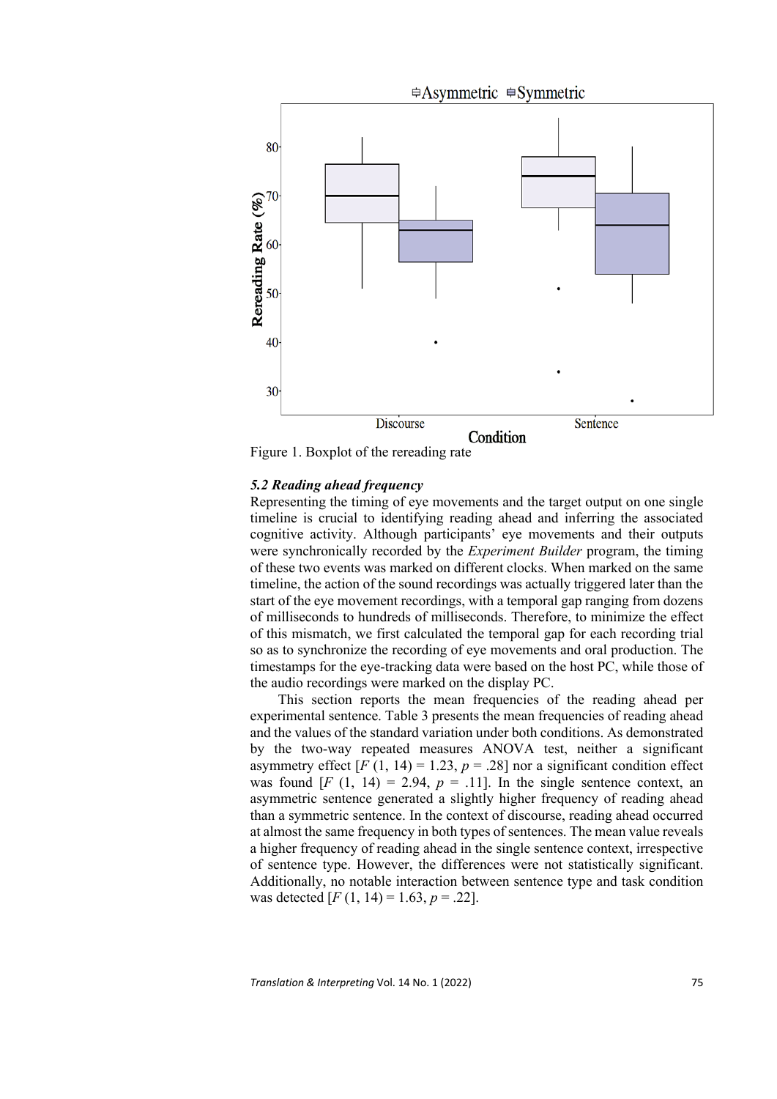

Figure 1. Boxplot of the rereading rate

## *5.2 Reading ahead frequency*

Representing the timing of eye movements and the target output on one single timeline is crucial to identifying reading ahead and inferring the associated cognitive activity. Although participants' eye movements and their outputs were synchronically recorded by the *Experiment Builder* program, the timing of these two events was marked on different clocks. When marked on the same timeline, the action of the sound recordings was actually triggered later than the start of the eye movement recordings, with a temporal gap ranging from dozens of milliseconds to hundreds of milliseconds. Therefore, to minimize the effect of this mismatch, we first calculated the temporal gap for each recording trial so as to synchronize the recording of eye movements and oral production. The timestamps for the eye-tracking data were based on the host PC, while those of the audio recordings were marked on the display PC.

This section reports the mean frequencies of the reading ahead per experimental sentence. Table 3 presents the mean frequencies of reading ahead and the values of the standard variation under both conditions. As demonstrated by the two-way repeated measures ANOVA test, neither a significant asymmetry effect  $[F(1, 14) = 1.23, p = .28]$  nor a significant condition effect was found  $[F (1, 14) = 2.94, p = .11]$ . In the single sentence context, an asymmetric sentence generated a slightly higher frequency of reading ahead than a symmetric sentence. In the context of discourse, reading ahead occurred at almost the same frequency in both types of sentences. The mean value reveals a higher frequency of reading ahead in the single sentence context, irrespective of sentence type. However, the differences were not statistically significant. Additionally, no notable interaction between sentence type and task condition was detected  $[F(1, 14) = 1.63, p = .22]$ .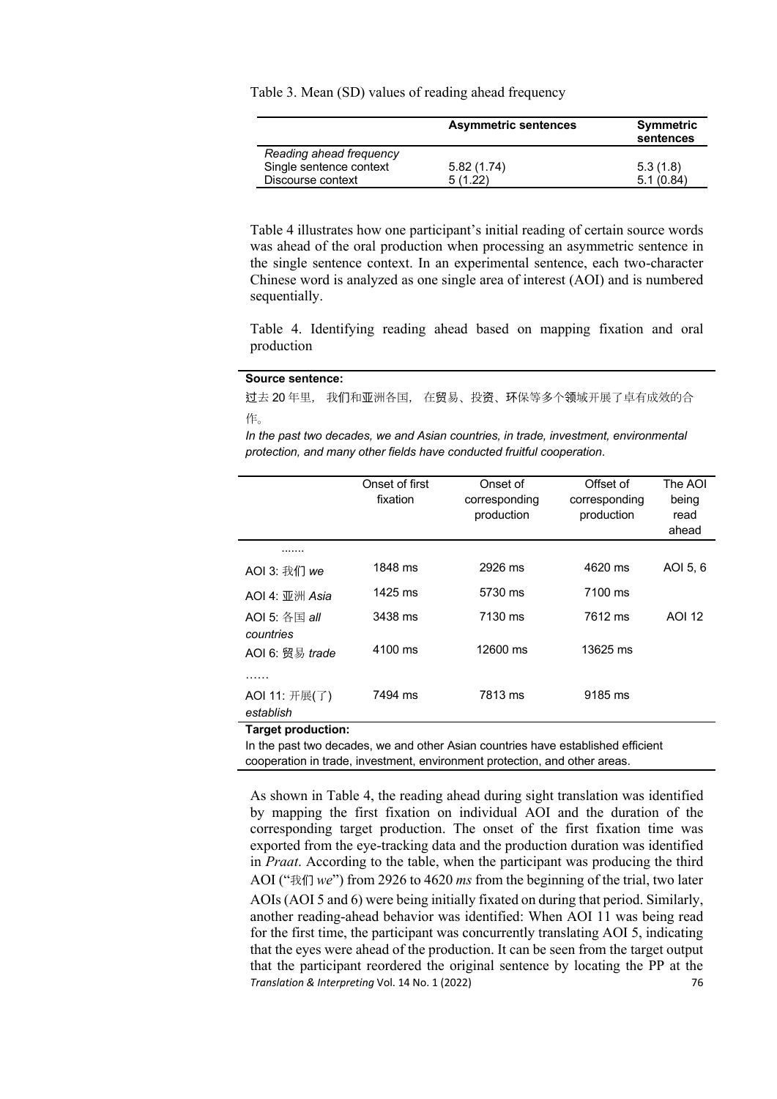Table 3. Mean (SD) values of reading ahead frequency

|                         | <b>Asymmetric sentences</b> | Symmetric<br>sentences |
|-------------------------|-----------------------------|------------------------|
| Reading ahead frequency |                             |                        |
| Single sentence context | 5.82(1.74)                  | 5.3(1.8)               |
| Discourse context       | 5(1.22)                     | 5.1(0.84)              |

Table 4 illustrates how one participant's initial reading of certain source words was ahead of the oral production when processing an asymmetric sentence in the single sentence context. In an experimental sentence, each two-character Chinese word is analyzed as one single area of interest (AOI) and is numbered sequentially.

Table 4. Identifying reading ahead based on mapping fixation and oral production

#### **Source sentence:**

过去 20 年里, 我们和亚洲各国, 在贸易、投资、环保等多个领域开展了卓有成效的合 作。

*In the past two decades, we and Asian countries, in trade, investment, environmental protection, and many other fields have conducted fruitful cooperation*.

|                              | Onset of first<br>fixation | Onset of<br>corresponding<br>production | Offset of<br>corresponding<br>production | The AOI<br>being<br>read<br>ahead |
|------------------------------|----------------------------|-----------------------------------------|------------------------------------------|-----------------------------------|
|                              |                            |                                         |                                          |                                   |
| AOI 3: 我们 we                 | 1848 ms                    | 2926 ms                                 | 4620 ms                                  | AOI 5, 6                          |
| $AOI$ 4: 亚洲 Asia             | $1425$ ms                  | 5730 ms                                 | 7100 ms                                  |                                   |
| $AOI$ 5: 各国 all              | 3438 ms                    | 7130 ms                                 | 7612 ms                                  | AOI 12                            |
| countries<br>AOI 6: 贸易 trade | 4100 ms                    | 12600 ms                                | 13625 ms                                 |                                   |
| .                            |                            |                                         |                                          |                                   |
| AOI 11: 开展(了)<br>establish   | 7494 ms                    | 7813 ms                                 | 9185 ms                                  |                                   |
| Target production:           |                            |                                         |                                          |                                   |

**Target production:** 

In the past two decades, we and other Asian countries have established efficient cooperation in trade, investment, environment protection, and other areas.

*Translation & Interpreting* Vol. 14 No. 1 (2022) 76 As shown in Table 4, the reading ahead during sight translation was identified by mapping the first fixation on individual AOI and the duration of the corresponding target production. The onset of the first fixation time was exported from the eye-tracking data and the production duration was identified in *Praat*. According to the table, when the participant was producing the third AOI ("我们 *we*") from 2926 to 4620 *ms* from the beginning of the trial, two later AOIs (AOI 5 and 6) were being initially fixated on during that period. Similarly, another reading-ahead behavior was identified: When AOI 11 was being read for the first time, the participant was concurrently translating AOI 5, indicating that the eyes were ahead of the production. It can be seen from the target output that the participant reordered the original sentence by locating the PP at the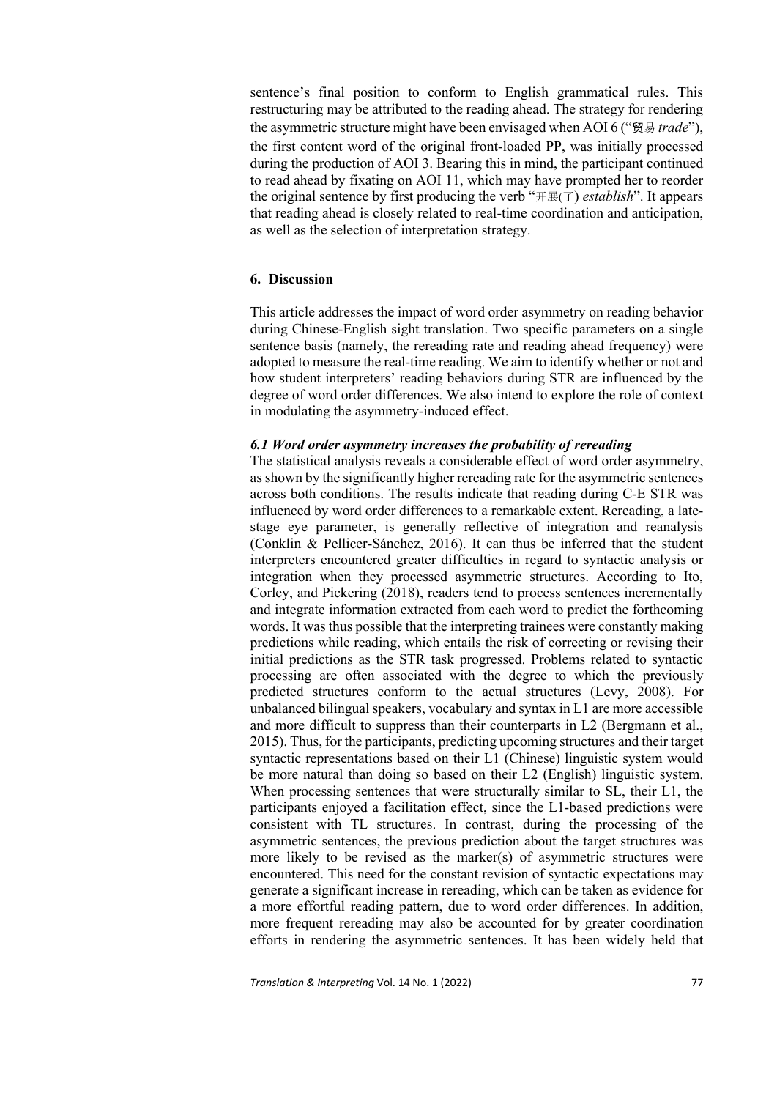sentence's final position to conform to English grammatical rules. This restructuring may be attributed to the reading ahead. The strategy for rendering the asymmetric structure might have been envisaged when AOI 6 ("贸易 *trade*"), the first content word of the original front-loaded PP, was initially processed during the production of AOI 3. Bearing this in mind, the participant continued to read ahead by fixating on AOI 11, which may have prompted her to reorder the original sentence by first producing the verb "开展(了) *establish*". It appears that reading ahead is closely related to real-time coordination and anticipation, as well as the selection of interpretation strategy.

## **6. Discussion**

This article addresses the impact of word order asymmetry on reading behavior during Chinese-English sight translation. Two specific parameters on a single sentence basis (namely, the rereading rate and reading ahead frequency) were adopted to measure the real-time reading. We aim to identify whether or not and how student interpreters' reading behaviors during STR are influenced by the degree of word order differences. We also intend to explore the role of context in modulating the asymmetry-induced effect.

#### *6.1 Word order asymmetry increases the probability of rereading*

The statistical analysis reveals a considerable effect of word order asymmetry, as shown by the significantly higher rereading rate for the asymmetric sentences across both conditions. The results indicate that reading during C-E STR was influenced by word order differences to a remarkable extent. Rereading, a latestage eye parameter, is generally reflective of integration and reanalysis (Conklin & Pellicer-Sánchez, 2016). It can thus be inferred that the student interpreters encountered greater difficulties in regard to syntactic analysis or integration when they processed asymmetric structures. According to Ito, Corley, and Pickering (2018), readers tend to process sentences incrementally and integrate information extracted from each word to predict the forthcoming words. It was thus possible that the interpreting trainees were constantly making predictions while reading, which entails the risk of correcting or revising their initial predictions as the STR task progressed. Problems related to syntactic processing are often associated with the degree to which the previously predicted structures conform to the actual structures (Levy, 2008). For unbalanced bilingual speakers, vocabulary and syntax in L1 are more accessible and more difficult to suppress than their counterparts in L2 (Bergmann et al., 2015). Thus, for the participants, predicting upcoming structures and their target syntactic representations based on their L1 (Chinese) linguistic system would be more natural than doing so based on their L2 (English) linguistic system. When processing sentences that were structurally similar to SL, their L1, the participants enjoyed a facilitation effect, since the L1-based predictions were consistent with TL structures. In contrast, during the processing of the asymmetric sentences, the previous prediction about the target structures was more likely to be revised as the marker(s) of asymmetric structures were encountered. This need for the constant revision of syntactic expectations may generate a significant increase in rereading, which can be taken as evidence for a more effortful reading pattern, due to word order differences. In addition, more frequent rereading may also be accounted for by greater coordination efforts in rendering the asymmetric sentences. It has been widely held that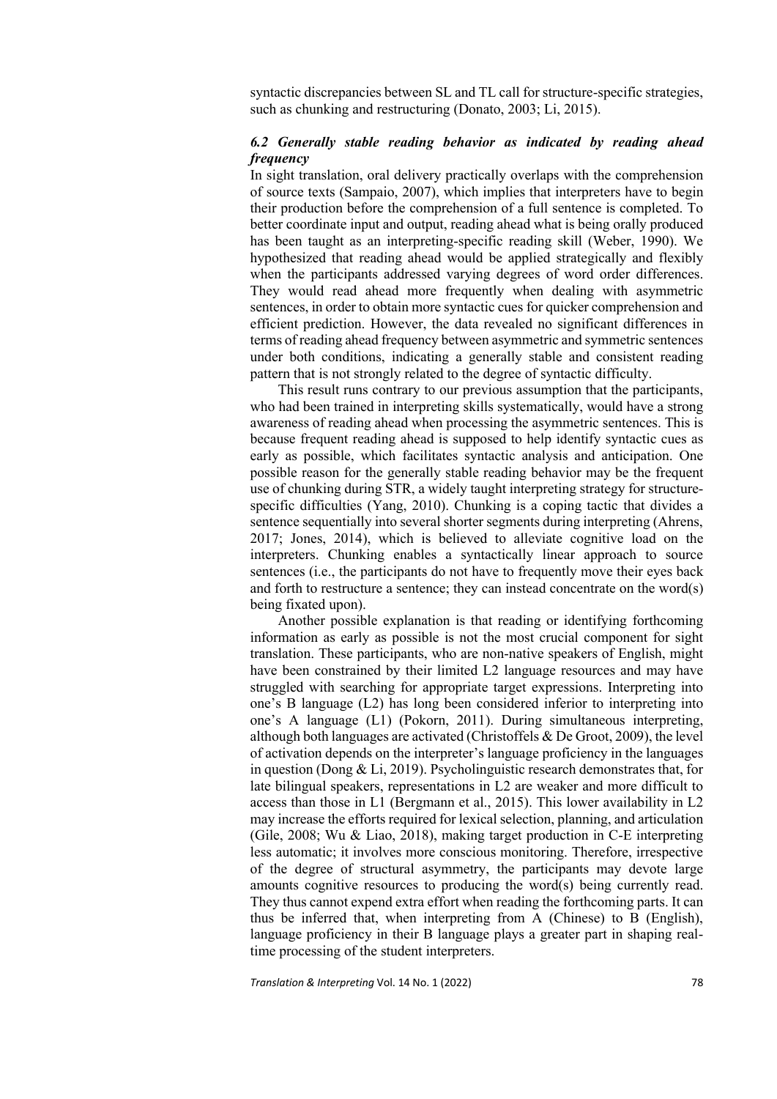syntactic discrepancies between SL and TL call for structure-specific strategies, such as chunking and restructuring (Donato, 2003; Li, 2015).

## *6.2 Generally stable reading behavior as indicated by reading ahead frequency*

In sight translation, oral delivery practically overlaps with the comprehension of source texts (Sampaio, 2007), which implies that interpreters have to begin their production before the comprehension of a full sentence is completed. To better coordinate input and output, reading ahead what is being orally produced has been taught as an interpreting-specific reading skill (Weber, 1990). We hypothesized that reading ahead would be applied strategically and flexibly when the participants addressed varying degrees of word order differences. They would read ahead more frequently when dealing with asymmetric sentences, in order to obtain more syntactic cues for quicker comprehension and efficient prediction. However, the data revealed no significant differences in terms of reading ahead frequency between asymmetric and symmetric sentences under both conditions, indicating a generally stable and consistent reading pattern that is not strongly related to the degree of syntactic difficulty.

This result runs contrary to our previous assumption that the participants, who had been trained in interpreting skills systematically, would have a strong awareness of reading ahead when processing the asymmetric sentences. This is because frequent reading ahead is supposed to help identify syntactic cues as early as possible, which facilitates syntactic analysis and anticipation. One possible reason for the generally stable reading behavior may be the frequent use of chunking during STR, a widely taught interpreting strategy for structurespecific difficulties (Yang, 2010). Chunking is a coping tactic that divides a sentence sequentially into several shorter segments during interpreting (Ahrens, 2017; Jones, 2014), which is believed to alleviate cognitive load on the interpreters. Chunking enables a syntactically linear approach to source sentences (i.e., the participants do not have to frequently move their eyes back and forth to restructure a sentence; they can instead concentrate on the word(s) being fixated upon).

Another possible explanation is that reading or identifying forthcoming information as early as possible is not the most crucial component for sight translation. These participants, who are non-native speakers of English, might have been constrained by their limited L2 language resources and may have struggled with searching for appropriate target expressions. Interpreting into one's B language (L2) has long been considered inferior to interpreting into one's A language (L1) (Pokorn, 2011). During simultaneous interpreting, although both languages are activated (Christoffels & De Groot, 2009), the level of activation depends on the interpreter's language proficiency in the languages in question (Dong & Li, 2019). Psycholinguistic research demonstrates that, for late bilingual speakers, representations in L2 are weaker and more difficult to access than those in L1 (Bergmann et al., 2015). This lower availability in L2 may increase the efforts required for lexical selection, planning, and articulation (Gile, 2008; Wu & Liao, 2018), making target production in C-E interpreting less automatic; it involves more conscious monitoring. Therefore, irrespective of the degree of structural asymmetry, the participants may devote large amounts cognitive resources to producing the word(s) being currently read. They thus cannot expend extra effort when reading the forthcoming parts. It can thus be inferred that, when interpreting from A (Chinese) to B (English), language proficiency in their B language plays a greater part in shaping realtime processing of the student interpreters.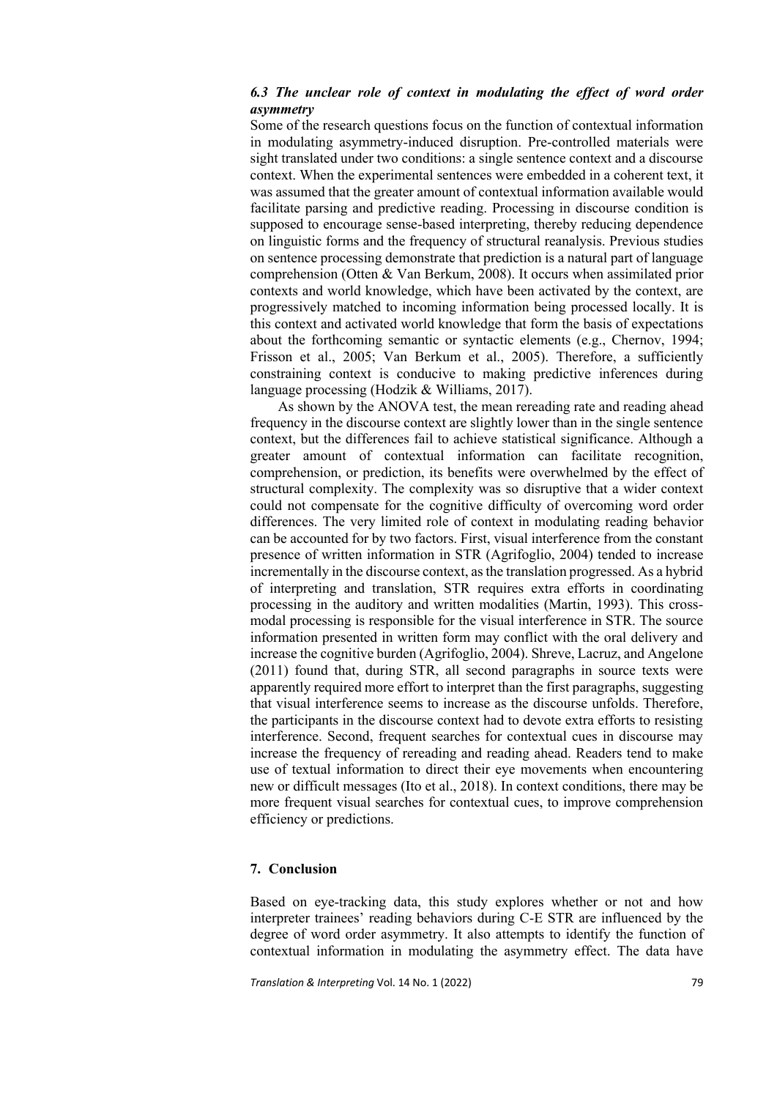## *6.3 The unclear role of context in modulating the effect of word order asymmetry*

Some of the research questions focus on the function of contextual information in modulating asymmetry-induced disruption. Pre-controlled materials were sight translated under two conditions: a single sentence context and a discourse context. When the experimental sentences were embedded in a coherent text, it was assumed that the greater amount of contextual information available would facilitate parsing and predictive reading. Processing in discourse condition is supposed to encourage sense-based interpreting, thereby reducing dependence on linguistic forms and the frequency of structural reanalysis. Previous studies on sentence processing demonstrate that prediction is a natural part of language comprehension (Otten & Van Berkum, 2008). It occurs when assimilated prior contexts and world knowledge, which have been activated by the context, are progressively matched to incoming information being processed locally. It is this context and activated world knowledge that form the basis of expectations about the forthcoming semantic or syntactic elements (e.g., Chernov, 1994; Frisson et al., 2005; Van Berkum et al., 2005). Therefore, a sufficiently constraining context is conducive to making predictive inferences during language processing (Hodzik & Williams, 2017).

As shown by the ANOVA test, the mean rereading rate and reading ahead frequency in the discourse context are slightly lower than in the single sentence context, but the differences fail to achieve statistical significance. Although a greater amount of contextual information can facilitate recognition, comprehension, or prediction, its benefits were overwhelmed by the effect of structural complexity. The complexity was so disruptive that a wider context could not compensate for the cognitive difficulty of overcoming word order differences. The very limited role of context in modulating reading behavior can be accounted for by two factors. First, visual interference from the constant presence of written information in STR (Agrifoglio, 2004) tended to increase incrementally in the discourse context, as the translation progressed. As a hybrid of interpreting and translation, STR requires extra efforts in coordinating processing in the auditory and written modalities (Martin, 1993). This crossmodal processing is responsible for the visual interference in STR. The source information presented in written form may conflict with the oral delivery and increase the cognitive burden (Agrifoglio, 2004). Shreve, Lacruz, and Angelone (2011) found that, during STR, all second paragraphs in source texts were apparently required more effort to interpret than the first paragraphs, suggesting that visual interference seems to increase as the discourse unfolds. Therefore, the participants in the discourse context had to devote extra efforts to resisting interference. Second, frequent searches for contextual cues in discourse may increase the frequency of rereading and reading ahead. Readers tend to make use of textual information to direct their eye movements when encountering new or difficult messages (Ito et al., 2018). In context conditions, there may be more frequent visual searches for contextual cues, to improve comprehension efficiency or predictions.

## **7. Conclusion**

Based on eye-tracking data, this study explores whether or not and how interpreter trainees' reading behaviors during C-E STR are influenced by the degree of word order asymmetry. It also attempts to identify the function of contextual information in modulating the asymmetry effect. The data have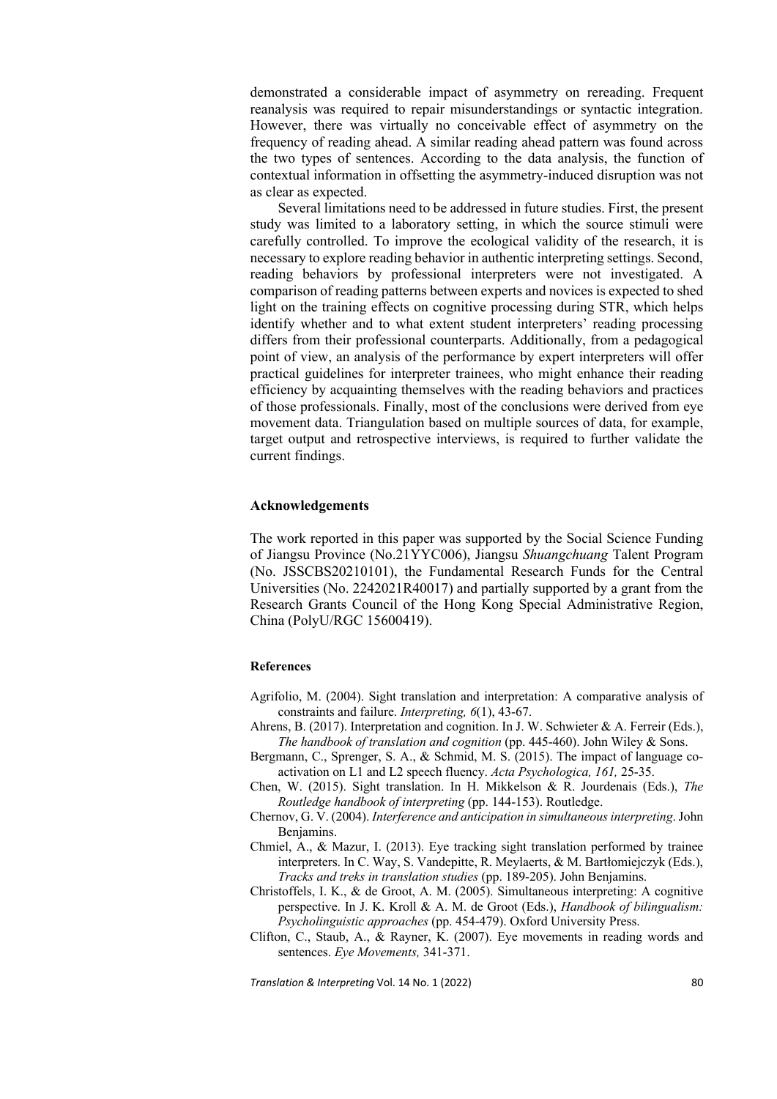demonstrated a considerable impact of asymmetry on rereading. Frequent reanalysis was required to repair misunderstandings or syntactic integration. However, there was virtually no conceivable effect of asymmetry on the frequency of reading ahead. A similar reading ahead pattern was found across the two types of sentences. According to the data analysis, the function of contextual information in offsetting the asymmetry-induced disruption was not as clear as expected.

Several limitations need to be addressed in future studies. First, the present study was limited to a laboratory setting, in which the source stimuli were carefully controlled. To improve the ecological validity of the research, it is necessary to explore reading behavior in authentic interpreting settings. Second, reading behaviors by professional interpreters were not investigated. A comparison of reading patterns between experts and novices is expected to shed light on the training effects on cognitive processing during STR, which helps identify whether and to what extent student interpreters' reading processing differs from their professional counterparts. Additionally, from a pedagogical point of view, an analysis of the performance by expert interpreters will offer practical guidelines for interpreter trainees, who might enhance their reading efficiency by acquainting themselves with the reading behaviors and practices of those professionals. Finally, most of the conclusions were derived from eye movement data. Triangulation based on multiple sources of data, for example, target output and retrospective interviews, is required to further validate the current findings.

#### **Acknowledgements**

The work reported in this paper was supported by the Social Science Funding of Jiangsu Province (No.21YYC006), Jiangsu *Shuangchuang* Talent Program (No. JSSCBS20210101), the Fundamental Research Funds for the Central Universities (No. 2242021R40017) and partially supported by a grant from the Research Grants Council of the Hong Kong Special Administrative Region, China (PolyU/RGC 15600419).

#### **References**

- Agrifolio, M. (2004). Sight translation and interpretation: A comparative analysis of constraints and failure. *Interpreting, 6*(1), 43-67.
- Ahrens, B. (2017). Interpretation and cognition. In J. W. Schwieter & A. Ferreir (Eds.), *The handbook of translation and cognition* (pp. 445-460). John Wiley & Sons.
- Bergmann, C., Sprenger, S. A., & Schmid, M. S. (2015). The impact of language coactivation on L1 and L2 speech fluency. *Acta Psychologica, 161,* 25-35.
- Chen, W. (2015). Sight translation. In H. Mikkelson & R. Jourdenais (Eds.), *The Routledge handbook of interpreting* (pp. 144-153). Routledge.
- Chernov, G. V. (2004). *Interference and anticipation in simultaneous interpreting*. John Benjamins.
- Chmiel, A., & Mazur, I. (2013). Eye tracking sight translation performed by trainee interpreters. In C. Way, S. Vandepitte, R. Meylaerts, & M. Bartłomiejczyk (Eds.), *Tracks and treks in translation studies* (pp. 189-205). John Benjamins.
- Christoffels, I. K., & de Groot, A. M. (2005). Simultaneous interpreting: A cognitive perspective. In J. K. Kroll & A. M. de Groot (Eds.), *Handbook of bilingualism: Psycholinguistic approaches* (pp. 454-479). Oxford University Press.
- Clifton, C., Staub, A., & Rayner, K. (2007). Eye movements in reading words and sentences. *Eye Movements,* 341-371.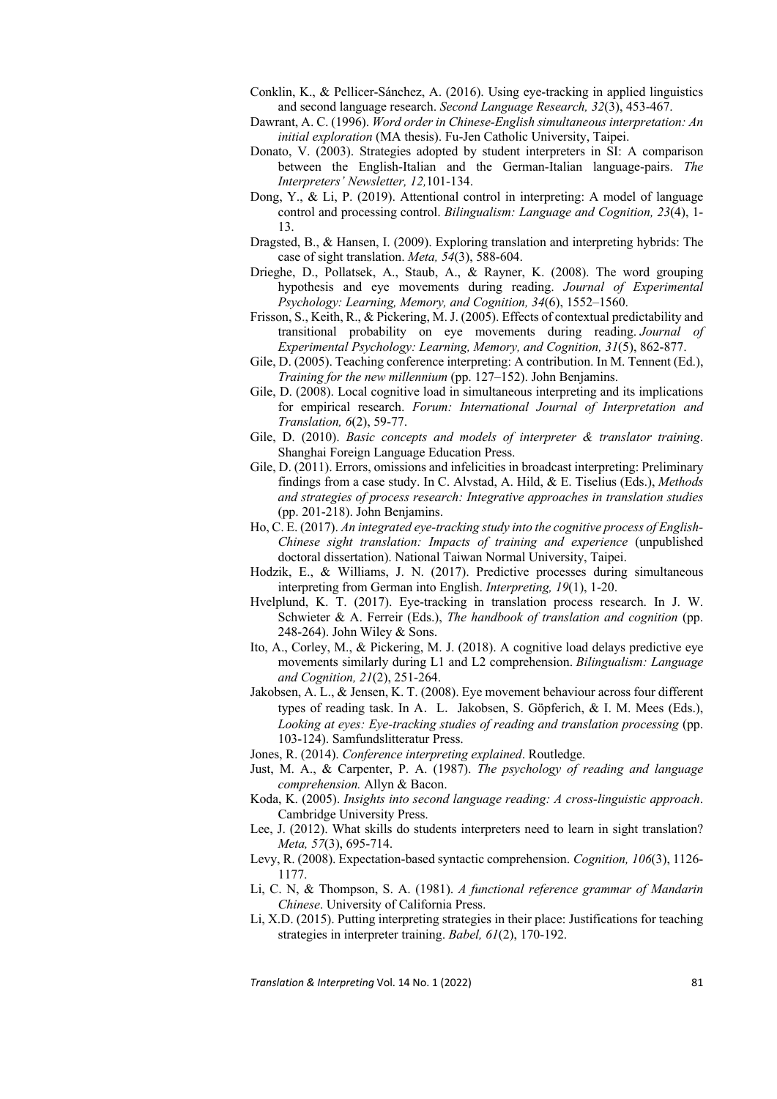- Conklin, K., & Pellicer-Sánchez, A. (2016). Using eye-tracking in applied linguistics and second language research. *Second Language Research, 32*(3), 453-467.
- Dawrant, A. C. (1996). *Word order in Chinese-English simultaneous interpretation: An initial exploration* (MA thesis). Fu-Jen Catholic University, Taipei.
- Donato, V. (2003). Strategies adopted by student interpreters in SI: A comparison between the English-Italian and the German-Italian language-pairs. *The Interpreters' Newsletter, 12,*101-134.
- Dong, Y., & Li, P. (2019). Attentional control in interpreting: A model of language control and processing control. *Bilingualism: Language and Cognition, 23*(4), 1- 13.
- Dragsted, B., & Hansen, I. (2009). Exploring translation and interpreting hybrids: The case of sight translation. *Meta, 54*(3), 588-604.
- Drieghe, D., Pollatsek, A., Staub, A., & Rayner, K. (2008). The word grouping hypothesis and eye movements during reading. *Journal of Experimental Psychology: Learning, Memory, and Cognition, 34*(6), 1552–1560.
- Frisson, S., Keith, R., & Pickering, M. J. (2005). Effects of contextual predictability and transitional probability on eye movements during reading. *Journal of Experimental Psychology: Learning, Memory, and Cognition, 31*(5), 862-877.
- Gile, D. (2005). Teaching conference interpreting: A contribution. In M. Tennent (Ed.), *Training for the new millennium* (pp. 127–152). John Benjamins.
- Gile, D. (2008). Local cognitive load in simultaneous interpreting and its implications for empirical research. *Forum: International Journal of Interpretation and Translation, 6*(2), 59-77.
- Gile, D. (2010). *Basic concepts and models of interpreter & translator training*. Shanghai Foreign Language Education Press.
- Gile, D. (2011). Errors, omissions and infelicities in broadcast interpreting: Preliminary findings from a case study. In C. Alvstad, A. Hild, & E. Tiselius (Eds.), *Methods and strategies of process research: Integrative approaches in translation studies*  (pp. 201-218). John Benjamins.
- Ho, C. E. (2017). *An integrated eye-tracking study into the cognitive process of English-Chinese sight translation: Impacts of training and experience* (unpublished doctoral dissertation). National Taiwan Normal University, Taipei.
- Hodzik, E., & Williams, J. N. (2017). Predictive processes during simultaneous interpreting from German into English. *Interpreting, 19*(1), 1-20.
- Hvelplund, K. T. (2017). Eye-tracking in translation process research. In J. W. Schwieter & A. Ferreir (Eds.), *The handbook of translation and cognition* (pp. 248-264). John Wiley & Sons.
- Ito, A., Corley, M., & Pickering, M. J. (2018). A cognitive load delays predictive eye movements similarly during L1 and L2 comprehension. *Bilingualism: Language and Cognition, 21*(2), 251-264.
- Jakobsen, A. L., & Jensen, K. T. (2008). Eye movement behaviour across four different types of reading task. In A. L. Jakobsen, S. Göpferich, & I. M. Mees (Eds.), *Looking at eyes: Eye-tracking studies of reading and translation processing (pp.* 103-124). Samfundslitteratur Press.
- Jones, R. (2014). *Conference interpreting explained*. Routledge.
- Just, M. A., & Carpenter, P. A. (1987). *The psychology of reading and language comprehension.* Allyn & Bacon.
- Koda, K. (2005). *Insights into second language reading: A cross-linguistic approach*. Cambridge University Press.
- Lee, J. (2012). What skills do students interpreters need to learn in sight translation? *Meta, 57*(3), 695-714.
- Levy, R. (2008). Expectation-based syntactic comprehension. *Cognition, 106*(3), 1126- 1177.
- Li, C. N, & Thompson, S. A. (1981). *A functional reference grammar of Mandarin Chinese*. University of California Press.
- Li, X.D. (2015). Putting interpreting strategies in their place: Justifications for teaching strategies in interpreter training. *Babel, 61*(2), 170-192.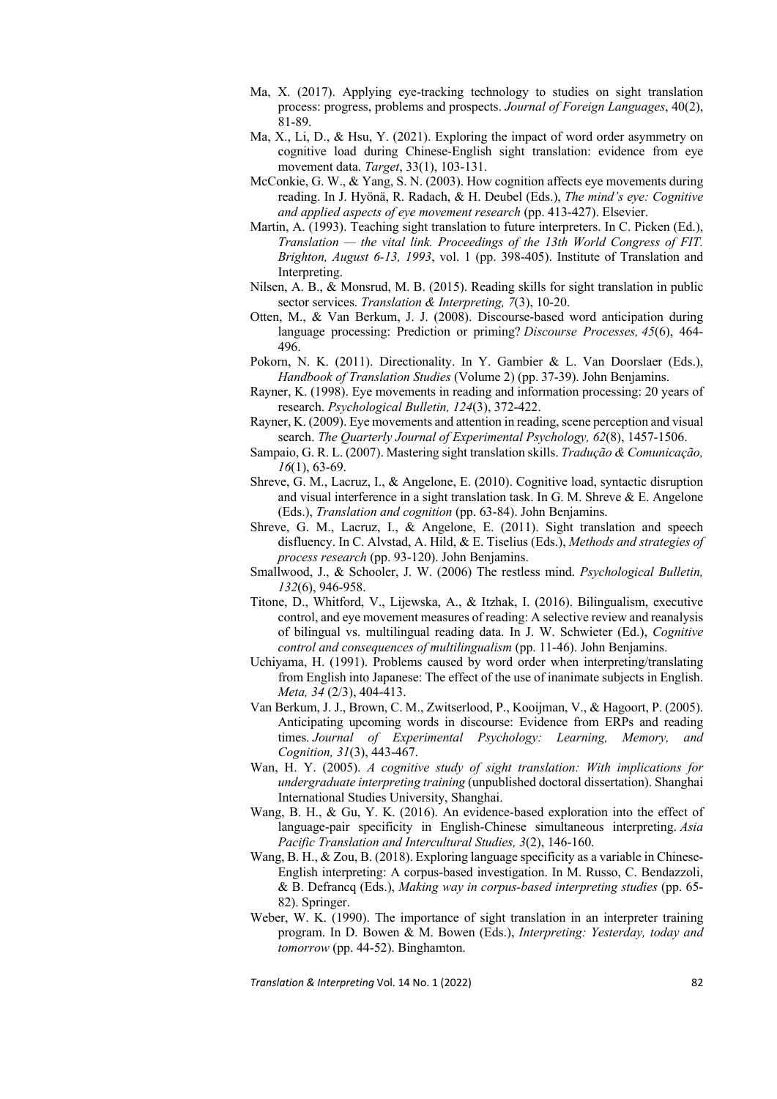- Ma, X. (2017). Applying eye-tracking technology to studies on sight translation process: progress, problems and prospects. *Journal of Foreign Languages*, 40(2), 81-89.
- Ma, X., Li, D., & Hsu, Y. (2021). Exploring the impact of word order asymmetry on cognitive load during Chinese-English sight translation: evidence from eye movement data. *Target*, 33(1), 103-131.
- McConkie, G. W., & Yang, S. N. (2003). How cognition affects eye movements during reading. In J. Hyönä, R. Radach, & H. Deubel (Eds.), *The mind's eye: Cognitive and applied aspects of eye movement research* (pp. 413-427). Elsevier.
- Martin, A. (1993). Teaching sight translation to future interpreters. In C. Picken (Ed.), *Translation — the vital link. Proceedings of the 13th World Congress of FIT. Brighton, August 6-13, 1993*, vol. 1 (pp. 398-405). Institute of Translation and Interpreting.
- Nilsen, A. B., & Monsrud, M. B. (2015). Reading skills for sight translation in public sector services. *Translation & Interpreting, 7*(3), 10-20.
- Otten, M., & Van Berkum, J. J. (2008). Discourse-based word anticipation during language processing: Prediction or priming? *Discourse Processes, 45*(6), 464- 496.
- Pokorn, N. K. (2011). Directionality. In Y. Gambier & L. Van Doorslaer (Eds.), *Handbook of Translation Studies* (Volume 2) (pp. 37-39). John Benjamins.
- Rayner, K. (1998). Eye movements in reading and information processing: 20 years of research. *Psychological Bulletin, 124*(3), 372-422.
- Rayner, K. (2009). Eye movements and attention in reading, scene perception and visual search. *The Quarterly Journal of Experimental Psychology, 62*(8), 1457-1506.
- Sampaio, G. R. L. (2007). Mastering sight translation skills. *Tradução & Comunicação, 16*(1), 63-69.
- Shreve, G. M., Lacruz, I., & Angelone, E. (2010). Cognitive load, syntactic disruption and visual interference in a sight translation task. In G. M. Shreve & E. Angelone (Eds.), *Translation and cognition* (pp. 63-84). John Benjamins.
- Shreve, G. M., Lacruz, I., & Angelone, E. (2011). Sight translation and speech disfluency. In C. Alvstad, A. Hild, & E. Tiselius (Eds.), *Methods and strategies of process research* (pp. 93-120). John Benjamins.
- Smallwood, J., & Schooler, J. W. (2006) The restless mind. *Psychological Bulletin, 132*(6), 946-958.
- Titone, D., Whitford, V., Lijewska, A., & Itzhak, I. (2016). Bilingualism, executive control, and eye movement measures of reading: A selective review and reanalysis of bilingual vs. multilingual reading data. In J. W. Schwieter (Ed.), *Cognitive control and consequences of multilingualism* (pp. 11-46). John Benjamins.
- Uchiyama, H. (1991). Problems caused by word order when interpreting/translating from English into Japanese: The effect of the use of inanimate subjects in English. *Meta, 34* (2/3), 404-413.
- Van Berkum, J. J., Brown, C. M., Zwitserlood, P., Kooijman, V., & Hagoort, P. (2005). Anticipating upcoming words in discourse: Evidence from ERPs and reading times. *Journal of Experimental Psychology: Learning, Memory, and Cognition, 31*(3), 443-467.
- Wan, H. Y. (2005). *A cognitive study of sight translation: With implications for undergraduate interpreting training* (unpublished doctoral dissertation). Shanghai International Studies University, Shanghai.
- Wang, B. H., & Gu, Y. K. (2016). An evidence-based exploration into the effect of language-pair specificity in English-Chinese simultaneous interpreting. *Asia Pacific Translation and Intercultural Studies, 3*(2), 146-160.
- Wang, B. H., & Zou, B. (2018). Exploring language specificity as a variable in Chinese-English interpreting: A corpus-based investigation. In M. Russo, C. Bendazzoli, & B. Defrancq (Eds.), *Making way in corpus-based interpreting studies* (pp. 65- 82). Springer.
- Weber, W. K. (1990). The importance of sight translation in an interpreter training program. In D. Bowen & M. Bowen (Eds.), *Interpreting: Yesterday, today and tomorrow* (pp. 44-52). Binghamton.